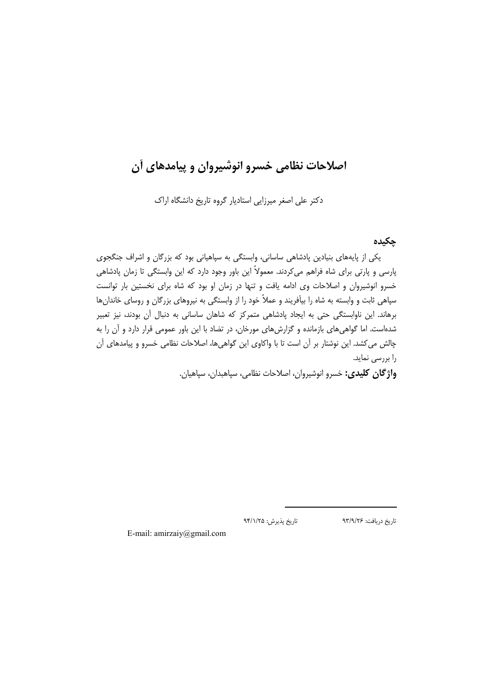# اصلاحات نظامی خسرو انوشیروان و پیامدهای آن

دکتر علی اصغر میرزایی استادیار گروه تاریخ دانشگاه اراک

### حكىدە

تاريخ دريافت: ٩٣/٩/٢۶

یکی از پایههای بنیادین پادشاهی ساسانی، وابستگی به سیاهیانی بود که بزرگان و اشراف جنگجوی پارسی و پارتی برای شاه فراهم میکردند. معمولاً این باور وجود دارد که این وابستگی تا زمان پادشاهی خسرو انوشیروان و اصلاحات وی ادامه یافت و تنها در زمان او بود که شاه برای نخستین بار توانست سپاهی ثابت و وابسته به شاه را بیآفریند و عملاً خود را از وابستگی به نیروهای بزرگان و روسای خاندانها برهاند. این ناوابستگی حتی به ایجاد پادشاهی متمرکز که شاهان ساسانی به دنبال آن بودند، نیز تعبیر شدهاست. اما گواهی های بازمانده و گزارش های مورخان، در تضاد با این باور عمومی قرار دارد و آن را به چالش می کشد. این نوشتار بر آن است تا با واکاوی این گواهیها، اصلاحات نظامی خسرو و پیامدهای آن را بررسی نماید.

واژگان كليدى: خسرو انوشيروان، اصلاحات نظامى، سپاهبدان، سپاهيان.

تاريخ پذيرش: ٩۴/١/٢۵

E-mail: amirzaiy@gmail.com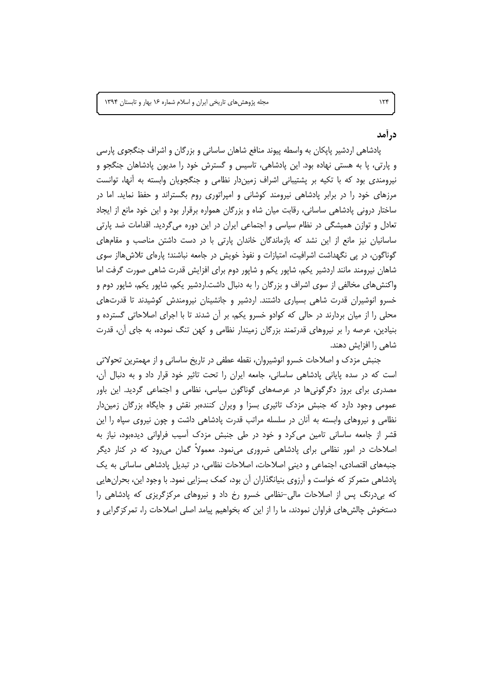در آمد

 $156$ 

یادشاهی اردشیر پایکان به واسطه پیوند منافع شاهان ساسانی و بزرگان و اشراف جنگجوی پارسی و پارتی، پا به هستی نهاده بود. این پادشاهی، تاسیس و گسترش خود را مدیون پادشاهان جنگجو و نیرومندی بود که با تکیه بر پشتیبانی اشراف زمیندار نظامی و جنگجویان وابسته به آنها، توانست مرزهای خود را در برابر پادشاهی نیرومند کوشانی و امپراتوری روم بگستراند و حفظ نماید. اما در ساختار درونی پادشاهی ساسانی، رقابت میان شاه و بزرگان همواره برقرار بود و این خود مانع از ایجاد تعادل و توازن همیشگی در نظام سیاسی و اجتماعی ایران در این دوره میگردید. اقدامات ضد پارتی ساسانیان نیز مانع از این نشد که بازماندگان خاندان پارتی با در دست داشتن مناصب و مقامهای گوناگون، در پی نگهداشت اشرافیت، امتیازات و نفوذ خویش در جامعه نباشند؛ پارهای تلاش هااز سوی شاهان نیرومند مانند اردشیر یکم، شاپور یکم و شاپور دوم برای افزایش قدرت شاهی صورت گرفت اما واکنش های مخالفی از سوی اشراف و بزرگان را به دنبال داشت.اردشیر یکم، شاپور یکم، شاپور دوم و خسرو انوشیران قدرت شاهی بسیاری داشتند. اردشیر و جانشینان نیرومندش کوشیدند تا قدرتهای محلی را از میان بردارند در حالی که کوادو خسرو یکم، بر آن شدند تا با اجرای اصلاحاتی گسترده و بنیادین، عرصه را بر نیروهای قدرتمند بزرگان زمیندار نظامی و کهن تنگ نموده، به جای آن، قدرت شاهی را افزایش دهند.

جنبش مزدک و اصلاحات خسرو انوشیروان، نقطه عطفی در تاریخ ساسانی و از مهمترین تحولاتی است که در سده پایانی پادشاهی ساسانی، جامعه ایران را تحت تاثیر خود قرار داد و به دنبال آن، مصدری برای بروز دگرگونیها در عرصههای گوناگون سیاسی، نظامی و اجتماعی گردید. این باور عمومی وجود دارد که جنبش مزدک تاثیری بسزا و ویران کنندهبر نقش و جایگاه بزرگان زمیندار نظامی و نیروهای وابسته به آنان در سلسله مراتب قدرت پادشاهی داشت و چون نیروی سپاه را این قشر از جامعه ساسانی تامین می کرد و خود در طی جنبش مزدک آسیب فراوانی دیدهبود، نیاز به اصلاحات در امور نظامی برای پادشاهی ضروری مینمود. معمولاً گمان میرود که در کنار دیگر جنبههای اقتصادی، اجتماعی و دینی اصلاحات، اصلاحات نظامی، در تبدیل پادشاهی ساسانی به یک پادشاهی متمرکز که خواست و آرزوی بنیانگذاران آن بود، کمک بسزایی نمود. با وجود این، بحران هایی که بی درنگ پس از اصلاحات مالی-نظامی خسرو رخ داد و نیروهای مرکزگریزی که پادشاهی را دستخوش چالشهای فراوان نمودند، ما را از این که بخواهیم پیامد اصلی اصلاحات را، تمرکزگرایی و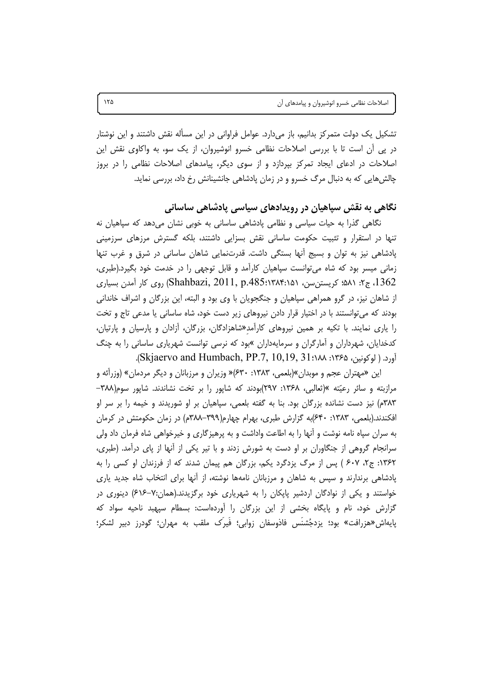تشکیل یک دولت متمرکز بدانیم، باز میدارد. عوامل فراوانی در این مسأله نقش داشتند و این نوشتار در پی آن است تا با بررسی اصلاحات نظامی خسرو انوشیروان، از یک سو، به واکاوی نقش این اصلاحات در ادعای ایجاد تمرکز بپردازد و از سوی دیگر، پیامدهای اصلاحات نظامی را در بروز چالش هایی که به دنبال مرگ خسرو و در زمان پادشاهی جانشینانش رخ داد، بررسی نماید.

## نگاهی به نقش سیاهیان در رویدادهای سیاسی یادشاهی ساسانی

نگاهی گذرا به حیات سیاسی و نظامی پادشاهی ساسانی به خوبی نشان میدهد که سپاهیان نه تنها در استقرار و تثبیت حکومت ساسانی نقش بسزایی داشتند، بلکه گسترش مرزهای سرزمینی پادشاهی نیز به توان و بسیج أنها بستگی داشت. قدرتنمایی شاهان ساسانی در شرق و غرب تنها زمانی میسر بود که شاه می توانست سپاهیان کارآمد و قابل توجهی را در خدمت خود بگیرد.(طبری، 1362، ج۲: ۵۸۱؛ کریستن سن، ۱۵۱:۲۸۴:۱۵۹ (Shahbazi, 2011, p.485) روی کار آمدن بسیاری از شاهان نیز، در گرو همراهی سیاهیان و جنگجویان با وی بود و البته، این بزرگان و اشراف خاندانی بودند که می توانستند با در اختیار قرار دادن نیروهای زیر دست خود، شاه ساسانی یا مدعی تاج و تخت را یاری نمایند. با تکیه بر همین نیروهای کارآمد«شاهزادگان، بزرگان، آزادان و پارسیان و پارتیان، کدخدایان، شهرداران و آمارگران و سرمایهداران »بود که نرسی توانست شهریاری ساسانی را به چنگ آورد. (لوكونين، ۱۳۶۵: ۱۸۸۸): Skjaervo and Humbach, PP.7, 10,19, 31،

این «مهتران عجم و موبدان»(بلعمی، ۱۳۸۳: ۶۳۰)« وزیران و مرزبانان و دیگر مردمان» (وزرآئه و مرازبته و سائر رعیّته »(ثعالبی، ۱۳۶۸: ۲۹۷)بودند که شاپور را بر تخت نشاندند. شاپور سوم(۳۸۸– ۳۸۳م) نیز دست نشانده بزرگان بود. بنا به گفته بلعمی، سپاهیان بر او شوریدند و خیمه را بر سر او افکندند.(بلعمی، ۱۳۸۳: ۶۴۰)به گزارش طبری، بهرام چهارم(۳۹۹–۳۸۸م) در زمان حکومتش در کرمان به سران سپاه نامه نوشت و آنها را به اطاعت واداشت و به پرهیزگاری و خیرخواهی شاه فرمان داد ولی سرانجام گروهی از جنگاوران بر او دست به شورش زدند و با تیر یکی از آنها از پای درآمد. (طبری، ۱۳۶۲: ج۲، ۶۰۷ ) پس از مرگ یزدگرد یکم، بزرگان هم پیمان شدند که از فرزندان او کسی را به پادشاهی برندارند و سپس به شاهان و مرزبانان نامهها نوشته، از آنها برای انتخاب شاه جدید پاری خواستند و یکی از نوادگان اردشیر پایکان را به شهریاری خود برگزیدند.(همان:۷-۶۱۶) دینوری در گزارش خود، نام و پایگاه بخشی از این بزرگان را آوردهاست: بسطام سپهبد ناحیه سواد که پایهاش«هزرافت» بود؛ یزدجُشنَس فاذوسفان زوابی؛ فَیرَک ملقب به مهران؛ گودرز دبیر لشکر؛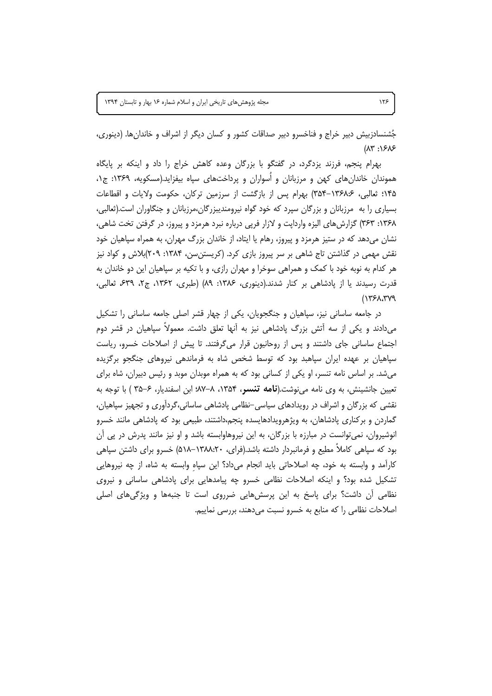جُشنسادزبیش دبیر خراج و فناخسرو دبیر صداقات کشور و کسان دیگر از اشراف و خاندانها. (دینوری،  $(11)^n : 1515$ 

بهرام پنجم، فرزند پزدگرد، در گفتگو با بزرگان وعده کاهش خراج را داد و اینکه بر پایگاه هموندان خاندانهای کهن و مرزبانان و اُسواران و پرداختهای سپاه بیفزاید.(مسکویه، ۱۳۶۹: ج۱، ۱۴۵؛ ثعالبی، ۱۳۶۸:۶–۳۵۴) بهرام پس از بازگشت از سرزمین ترکان، حکومت ولایات و اقطاعات بسیاری را به مرزبانان و بزرگان سپرد که خود گواه نیرومندیبزرگان،مرزبانان و جنگاوران است.(ثعالبی، ۱۳۶۸: ۳۶۳) گزارش های الیزه واردایت و لازار فریی درباره نبرد هرمزد و پیروز، در گرفتن تخت شاهی، نشان میدهد که در ستیز هرمزد و پیروز، رهام یا ایتاد، از خاندان بزرگ مهران، به همراه سپاهیان خود نقش مهمی در گذاشتن تاج شاهی بر سر پیروز بازی کرد. (کریستن سن، ۱۳۸۴: ۲۰۹)بلاش و کواد نیز هر کدام به نوبه خود با کمک و همراهی سوخرا و مهران رازی، و با تکیه بر سپاهیان این دو خاندان به قدرت رسیدند یا از پادشاهی بر کنار شدند.(دینوری، ۱۳۸۶: ۸۹) (طبری، ۱۳۶۲، ج۲، ۶۳۹، فعالبی،  $(1751.799)$ 

در جامعه ساسانی نیز، سپاهیان و جنگجویان، یکی از چهار قشر اصلی جامعه ساسانی را تشکیل میدادند و یکی از سه آتش بزرگ پادشاهی نیز به آنها تعلق داشت. معمولاً سپاهیان در قشر دوم اجتماع ساسانی جای داشتند و پس از روحانیون قرار میگرفتند. تا پیش از اصلاحات خسرو، ریاست سپاهیان بر عهده ایران سپاهبد بود که توسط شخص شاه به فرماندهی نیروهای جنگجو برگزیده میشد. بر اساس نامه تنسر، او یکی از کسانی بود که به همراه موبدان موبد و رئیس دبیران، شاه برای تعیین جانشینش، به وی نامه می نوشت.(**نامه تنسر، ۱۳**۵۴، ۸–۸۷؛ ابن اسفندیار، ۶–۳۵ ) با توجه به نقشی که بزرگان و اشراف در رویدادهای سیاسی-نظامی یادشاهی ساسانی،گردآوری و تجهیز سیاهیان، گماردن و برکناری پادشاهان، به ویژهرویدادهایسده پنجم،داشتند، طبیعی بود که پادشاهی مانند خسرو انوشیروان، نمی توانست در مبارزه با بزرگان، به این نیروهاوابسته باشد و او نیز مانند پدرش در پی آن بود که سپاهی کاملاً مطیع و فرمانبردار داشته باشد.(فرای، ۱۳۸۸:۲۰–۵۱۸) خسرو برای داشتن سپاهی کارآمد و وابسته به خود، چه اصلاحاتی باید انجام میداد؟ این سپاه وابسته به شاه، از چه نیروهایی تشکیل شده بود؟ و اینکه اصلاحات نظامی خسرو چه پیامدهایی برای پادشاهی ساسانی و نیروی نظامی اّن داشت؟ برای پاسخ به این پرسشهایی ضرروی است تا جنبهها و ویژگیهای اصلی اصلاحات نظامی را که منابع به خسرو نسبت میدهند، بررسی نماییم.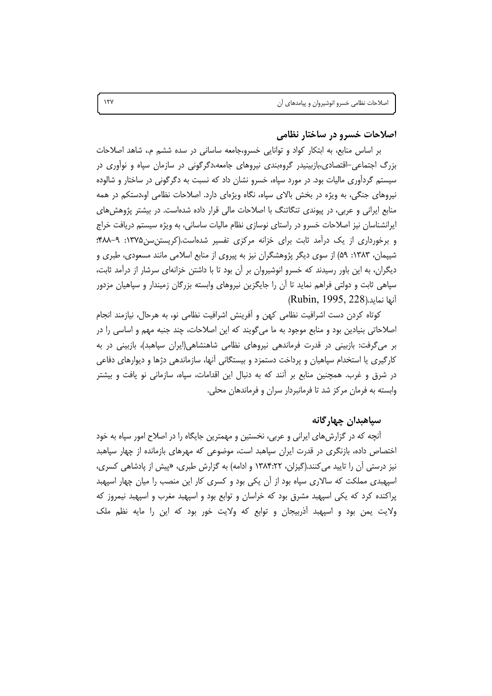#### اصلاحات خسرو در ساختار نظامی

بر اساس منابع، به ابتکار کواد و توانایی خسرو،جامعه ساسانی در سده ششم م.، شاهد اصلاحات بزرگ اجتماعی-اقتصادی،بازبینیدر گروهبندی نیروهای جامعه،دگرگونی در سازمان سپاه و نواوری در سیستم گردآوری مالیات بود. در مورد سپاه، خسرو نشان داد که نسبت به دگرگونی در ساختار و شالوده نیروهای جنگی، به ویژه در بخش بالای سیاه، نگاه ویژهای دارد. اصلاحات نظامی او،دستکم در همه منابع ایرانی و عربی، در پیوندی تنگاتنگ با اصلاحات مالی قرار داده شدهاست. در بیشتر پژوهش های ایرانشناسان نیز اصلاحات خسرو در راستای نوسازی نظام مالیات ساسانی، به ویژه سیستم دریافت خراج و برخورداری از یک درآمد ثابت برای خزانه مرکزی تفسیر شدهاست.(کریستن سن ۱۳۷۵: ۹-۴۸۸؛ شیپمان، ۱۳۸۳: ۵۹) از سوی دیگر پژوهشگران نیز به پیروی از منابع اسلامی مانند مسعودی، طبری و دیگران، به این باور رسیدند که خسرو انوشیروان بر آن بود تا با داشتن خزانهای سرشار از درآمد ثابت، سپاهی ثابت و دولتی فراهم نماید تا آن را جایگزین نیروهای وابسته بزرگان زمیندار و سپاهیان مزدور (Rubin, 1995, 228)أنها نمايد.

كوتاه كردن دست اشرافيت نظامى كهن و أفرينش اشرافيت نظامى نو، به هرحال، نيازمند انجام اصلاحاتی بنیادین بود و منابع موجود به ما می¢ویند که این اصلاحات، چند جنبه مهم و اساسی را در بر میگرفت: بازبینی در قدرت فرماندهی نیروهای نظامی شاهنشاهی(ایران سپاهبد)، بازبینی در به کارگیری یا استخدام سپاهیان و پرداخت دستمزد و بیستگانی آنها، سازماندهی دژها و دیوارهای دفاعی در شرق و غرب. همچنین منابع بر اَنند که به دنبال این اقدامات، سیاه، سازمانی نو یافت و بیشتر وابسته به فرمان مركز شد تا فرمانبردار سران و فرماندهان محلي.

### سياهىدان چهار گانه

آنچه که در گزارش های ایرانی و عربی، نخستین و مهمترین جایگاه را در اصلاح امور سپاه به خود اختصاص داده، بازنگری در قدرت ایران سیاهبد اس*ت،* موضوعی که مهرهای بازمانده از چهار سیاهبد نیز درستی آن را تایید می کنند.(گیزلن، ۱۳۸۴:۲۲ و ادامه) به گزارش طبری، «پیش از یادشاهی کسری، اسپهبدی مملکت که سالاری سپاه بود از آن یکی بود و کسری کار این منصب را میان چهار اسپهبد پراکنده کرد که یکی اسپهبد مشرق بود که خراسان و توابع بود و اسپهبد مغرب و اسپهبد نیمروز که ولايت یمن بود و اسيهبد آذربيجان و توابع كه ولايت خور بود كه اين را مايه نظم ملک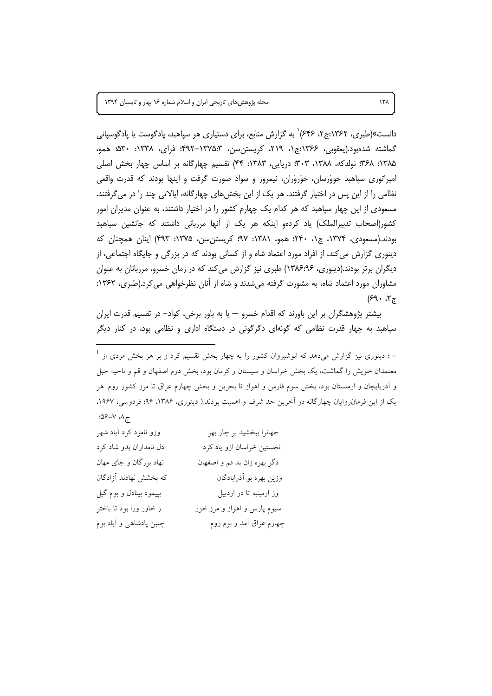دانست»(طبری، ۱۳۶۲:ج۲، ۶۴۶) به گزارش منابع، برای دستیاری هر سیاهبد، یادگوست یا یادگوسیانی گماشته شدهبود.(یعقوبی، ۱۳۶۶:ج۱، ۲۱۹، کریستن سن، ۱۳۷۵:۳-۴۹۲- فرای، ۱۳۳۸: ۵۳۰؛ همو، ۱۳۸۵: ۳۶۸؛ نولدکه، ۱۳۸۸، ۳۰۳؛ دریایی، ۱۳۸۳: ۴۴) تقسیم چهارگانه بر اساس چهار بخش اصلی امپراتوری سپاهبد خووَرسان، خوَروَران، نیمروز و سواد صورت گرفت و اینها بودند که قدرت واقعی نظامی را از این پس در اختیار گرفتند. هر یک از این بخش های چهارگانه، ایالاتی چند را در می گرفتند. مسعودی از این چهار سپاهبد که هر کدام یک چهارم کشور را در اختیار داشتند، به عنوان مدیران امور کشور(اصحاب تدبیرالملک) یاد کردهو اینکه هر یک از آنها مرزبانی داشتند که جانشین سیاهبد بودند.(مسعودی، ۱۳۷۴، ج۱، ۲۴۰؛ همو، ۱۳۸۱: ۹۷؛ کریستن سن، ۱۳۷۵: ۴۹۳) اینان همچنان که دینوری گزارش می کند، از افراد مورد اعتماد شاه و از کسانی بودند که در بزرگی و جایگاه اجتماعی، از دیگران برتر بودند.(دینوری، ۱۳۸۶:۶۶) طبری نیز گزارش می کند که در زمان خسرو، مرزبانان به عنوان مشاوران مورد اعتماد شاه، به مشورت گرفته میشدند و شاه از آنان نظرخواهی می کرد.(طبری، ۱۳۶۲:  $(59 \cdot 07)$ 

بیشتر پژوهشگران بر این باورند که اقدام خسرو — یا به باور برخی، کواد– در تقسیم قدرت ایران سپاهبد به چهار قدرت نظامی که گونهای دگرگونی در دستگاه اداری و نظامی بود، در کنار دیگر

– ؛ دینوری نیز گزارش میدهد که انوشیروان کشور را به چهار بخش تقسیم کرد و بر هر بخش مردی از <sup>1</sup> معتمدان خویش را گماشت، یک بخش خراسان و سیستان و کرمان بود، بخش دوم اصفهان و قم و ناحیه جبل و آذربایجان و ارمنستان بود، بخش سوم فارس و اهواز تا بحرین و بخش چهارم عراق تا مرز کشور روم. هر یک از این فرمان روایان چهارگانه در آخرین حد شرف و اهمیت بودند.( دینوری، ۱۳۸۶، ۹۶؛ فردوسی، ۱۹۶۷،  $.09 - V \Lambda$ 

وزو نامزد کرد آباد شهر جهانرا ببخشيد بر چار بهر دل نامداران بدو شاد کرد نخستین خراسان ازو یاد کرد نهاد بزرگان و جای مهان دگر بهره زان بد قم و اصفهان که بخشش نهادند آزادگان وزین بهره بو آذرابادگان بییمود بینادل و بوم گیل وز ارمینیه تا در اردبیل ز خاور ورا بود تا باختر سيوم پارس و اهواز و مرز خزر چنین پادشاهی و آباد بوم چهارم عراق آمد و بوم روم  $15<sub>A</sub>$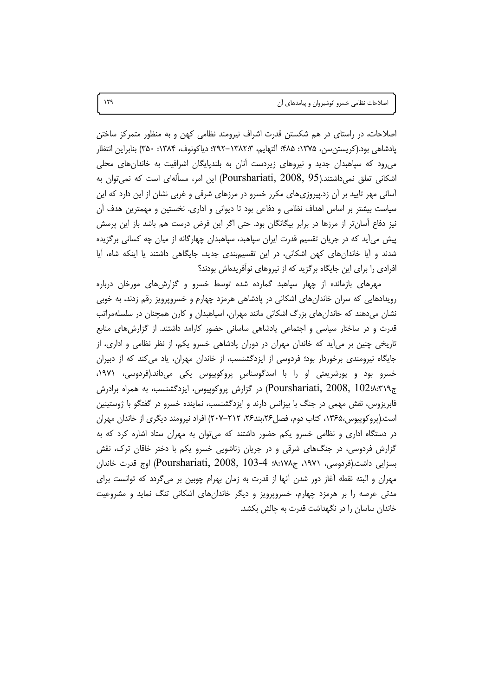اصلاحات، در راستای در هم شکستن قدرت اشراف نیرومند نظامی کهن و به منظور متمرکز ساختن يادشاهي بود.(كريستن سن، ١٣٧۵: ۴۸۵؛ آلتهايم، ٣:١٣٨٢-٢٩٢: دياكونوف، ١٣٨۴: ٣۵٠) بنابراين انتظار می رود که سپاهبدان جدید و نیروهای زیردست آنان به بلندپایگان اشرافیت به خاندانهای محلی اشکانی تعلق نمیداشتند.(Pourshariati, 2008, 95) این امر، مسألهای است که نمیتوان به آسانی مهر تایید بر آن زد.پیروزیهای مکرر خسرو در مرزهای شرقی و غربی نشان از این دارد که این سیاست بیشتر بر اساس اهداف نظامی و دفاعی بود تا دیوانی و اداری. نخستین و مهمترین هدف آن نیز دفاع اًسانتر از مرزها در برابر بیگانگان بود. حتی اگر این فرض درست هم باشد باز این پرسش پیش میآید که در جریان تقسیم قدرت ایران سپاهبد، سپاهبدان چهارگانه از میان چه کسانی برگزیده شدند و آیا خاندانهای کهن اشکانی، در این تقسیمبندی جدید، جایگاهی داشتند یا اینکه شاه، آیا افرادی را برای این جایگاه برگزید که از نیروهای نوآفریدهاش بودند؟

مهرهای بازمانده از چهار سپاهبد گمارده شده توسط خسرو و گزارش های مورخان درباره رویدادهایی که سران خاندانهای اشکانی در پادشاهی هرمزد چهارم و خسروپرویز رقم زدند، به خوبی نشان میدهند که خاندانهای بزرگ اشکانی مانند مهران، اسپاهبدان و کارن همچنان در سلسلهمراتب قدرت و در ساختار سیاسی و اجتماعی پادشاهی ساسانی حضور کارامد داشتند. از گزارشهای منابع تاریخی چنین بر میأید که خاندان مهران در دوران پادشاهی خسرو یکم، از نظر نظامی و اداری، از جایگاه نیرومندی برخوردار بود؛ فردوسی از ایزدگشنسب، از خاندان مهران، یاد می کند که از دبیران خسرو بود و پورشریعتی او را با اسدگوسناس پروکوپیوس یکی میداند.(فردوسی، ۱۹۷۱، ج۹'۳۱۹.Rourshariati, 2008, 102) در گزارش پروکوپیوس، ایزدگشنسب، به همراه برادرش فابریزوس، نقش مهمی در جنگ با بیزانس دارند و ایزدگشنسب، نماینده خسرو در گفتگو با ژوستینین است.(پروکوپیوس،۱۳۶۵، کتاب دوم، فصل۲۶،بند۲۶، ۲۱۲–۲۰۷) افراد نیرومند دیگری از خاندان مهران در دستگاه اداری و نظامی خسرو یکم حضور داشتند که می توان به مهران ستاد اشاره کرد که به گزارش فردوسی، در جنگهای شرقی و در جریان زناشویی خسرو یکم با دختر خاقان ترک، نقش بسزايي داشت.(فردوسي، ١٩٧١، ج١٠٧٨، ج 2008, Pourshariati, 2008, 103-4) اوج قدرت خاندان مهران و البته نقطه آغاز دور شدن آنها از قدرت به زمان بهرام چوبین بر میگردد که توانست برای مدتی عرصه را بر هرمزد چهارم، خسروپرویز و دیگر خاندانهای اشکانی تنگ نماید و مشروعیت خاندان ساسان را در نگهداشت قدرت به چالش بکشد.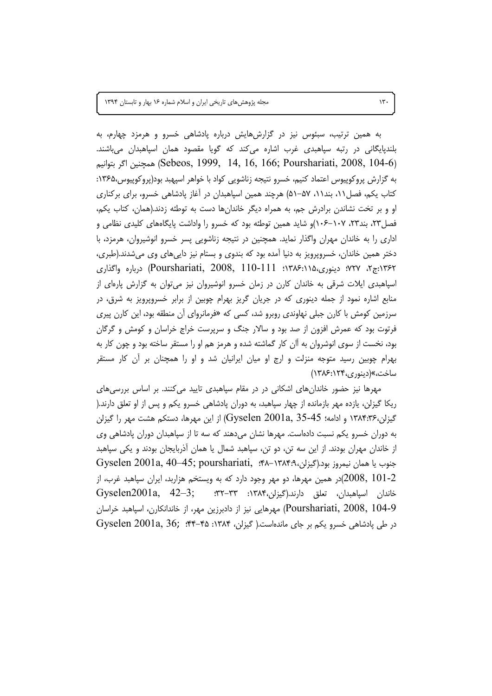به همین ترتیب، سبئوس نیز در گزارشهایش درباره پادشاهی خسرو و هرمزد چهارم، به بلندیایگانی در رتبه سیاهبدی غرب اشاره می⁄نند که گویا مقصود همان اسیاهبدان می،باشند. (Sebeos, 1999, 14, 16, 166; Pourshariati, 2008, 104-6) همچنين اگر بتوانيم به گزارش پروکوپیوس اعتماد کنیم، خسرو نتیجه زناشویی کواد با خواهر اسپهبد بود(پروکوپیوس،۱۳۶۵: کتاب یکم، فصل ۰۱۱، بند۱۱، ۵۷–۵۱) هرچند همین اسپاهبدان در آغاز پادشاهی خسرو، برای برکناری او و بر تخت نشاندن برادرش جم، به همراه دیگر خاندانها دست به توطئه زدند.(همان، کتاب یکم، فصل ۲۳، بند۲۳، ۱۰۷–۱۰۶)و شاید همین توطئه بود که خسرو را واداشت پایگاههای کلیدی نظامی و اداری را به خاندان مهران واگذار نماید. همچنین در نتیجه زناشویی پسر خسرو انوشیروان، هرمزد، با دختر همین خاندان، خسروپرویز به دنیا آمده بود که بندوی و بستام نیز داییهای وی میشدند.(طبری، ۰۱۳۶۲:ج۲، ۰۷۲۷؛ دینوری،۱۲۸۶:۱۲۸۶ Pourshariati, 2008, 110-111) درباره واگذاری اسپاهبدی ایلات شرقی به خاندان کارن در زمان خسرو انوشیروان نیز میتوان به گزارش پارهای از منابع اشاره نمود از جمله دینوری که در جریان گریز بهرام چوبین از برابر خسروپرویز به شرق، در سرزمین کومش با کارن جبلی نهاوندی روبرو شد، کسی که «فرمانروای آن منطقه بود، این کارن پیری فرتوت بود که عمرش افزون از صد بود و سالار جنگ و سرپرست خراج خراسان و کومش و گرگان بود، نخست از سوی انوشروان به آان کار گماشته شده و هرمز هم او را مستقر ساخته بود و چون کار به بهرام چوبین رسید متوجه منزلت و ارج او میان ایرانیان شد و او را همچنان بر آن کار مستقر ساخت،»(دینوری،۱۲۴):۱۳۸۶)

مهرها نیز حضور خاندانهای اشکانی در در مقام سپاهبدی تایید می کنند. بر اساس بررسی های ریکا گیزلن، یازده مهر بازمانده از چهار سپاهبد، به دوران پادشاهی خسرو یکم و پس از او تعلق دارند.( گیزلن،۱۳۸۴:۳۶ و ادامه؛ Gyselen 2001a, 35-45) از این مهرها، دستکم هشت مهر را گیزلن به دوران خسرو یکم نسبت دادهاست. مهرها نشان میدهند که سه تا از سپاهبدان دوران پادشاهی وی از خاندان مهران بودند. از این سه تن، دو تن، سپاهبد شمال یا همان آذربایجان بودند و یکی سپاهبد Gyselen 2001a, 40-45; pourshariati, :۴۸-۱۳۸۴۹۸ - Gyselen 2001a, 40-45; pourshariati, :۴۸-۱۳۸۴۹۸ در همین مهرها، دو مهر وجود دارد که به ویستخم هزاربد، ایران سپاهبد غرب، از $(2008,\ 101$ -2 Pourshariati, 2008, 104-9) مهرهایی نیز از دادبرزین مهر، از خاندانکارن، اسپاهبد خراسان Gyselen 2001a, 36; . ٣٣-۴۵ ماندهاست.( گیزلن، ۱۳۸۴: ۴۵-۴۴. Gyselen 2001a, 36;

 $15.$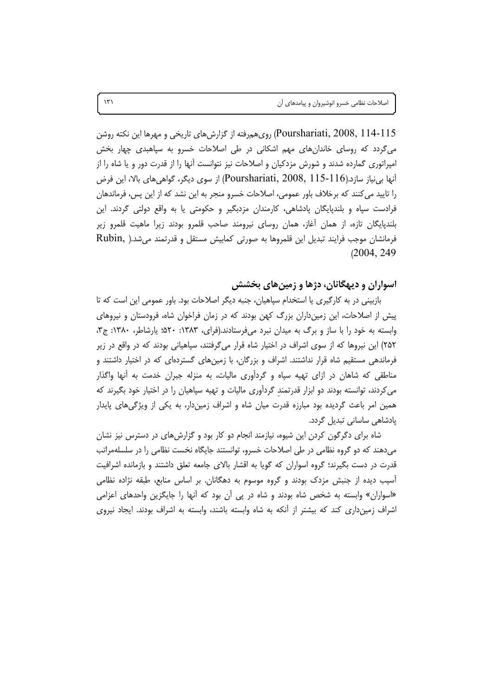Pourshariati, 2008, 114-115) رویهمرفته از گزارشهای تاریخی و مهرها این نکته روشن می گردد که روسای خاندانهای مهم اشکانی در طی اصلاحات خسرو به سیاهبدی چهار بخش امپراتوری گمارده شدند و شورش مزدکیان و اصلاحات نیز نتوانست آنها را از قدرت دور و یا شاه را از آنها بی نیاز سازد.(Pourshariati, 2008, 115-116) از سوی دیگر، گواهی های بالا، این فرض را تایید می کنند که برخلاف باور عمومی، اصلاحات خسرو منجر به این نشد که از این پس، فرماندهان فرادست سپاه و بلندپایگان پادشاهی، کارمندان مزدبگیر و حکومتی یا به واقع دولتی گردند. این بلندپایگان تازه، از همان آغاز، همان روسای نیرومند صاحب قلمرو بودند زیرا ماهیت قلمرو زیر فرمانشان موجب فرایند تبدیل این قلمروها به صورتی کمابیش مستقل و قدرتمند میشد.( Rubin,  $(2004, 249)$ 

#### اسواران و دیهگانان، دژها و زمینهای بخشش

بازبینی در به کارگیری یا استخدام سپاهیان، جنبه دیگر اصلاحات بود. باور عمومی این است که تا پیش از اصلاحات، این زمینداران بزرگ کهن بودند که در زمان فراخوان شاه، فرودستان و نیروهای وابسته به خود را با ساز و برگ به میدان نبرد میفرستادند.(فرای، ۱۳۸۳: ۵۲۰: ۵۲۰: ۳٫۳، ج۳، ۲۵۲) این نیروها که از سوی اشراف در اختیار شاه قرار میگرفتند، سپاهیانی بودند که در واقع در زیر فرماندهی مستقیم شاه قرار نداشتند. اشراف و بزرگان، با زمینهای گستردهای که در اختیار داشتند و مناطقی که شاهان در ازای تهیه سپاه و گردآوری مالیات، به منزله جبران خدمت به آنها واگذار میکردند، توانسته بودند دو ابزار قدرتمند گردآوری مالیات و تهیه سپاهیان را در اختیار خود بگیرند که همین امر باعث گردیده بود مبارزه قدرت میان شاه و اشراف زمیندار، به یکی از ویژگیهای پایدار یادشاهی ساسانی تبدیل گردد.

شاه برای دگرگون کردن این شیوه، نیازمند انجام دو کار بود و گزارشهای در دسترس نیز نشان میدهند که دو گروه نظامی در طی اصلاحات خسرو، توانستند جایگاه نخست نظامی را در سلسلهمراتب قدرت در دست بگیرند؛ گروه اسواران که گویا به اقشار بالای جامعه تعلق داشتند و بازمانده اشرافیت آسیب دیده از جنبش مزدک بودند و گروه موسوم به دهگانان. بر اساس منابع، طبقه نژاده نظامی «اسواران» وابسته به شخص شاه بودند و شاه در پی آن بود که آنها را جایگزین واحدهای اعزامی اشراف زمین داری کند که بیشتر از آنکه به شاه وابسته باشند، وابسته به اشراف بودند. ایجاد نیروی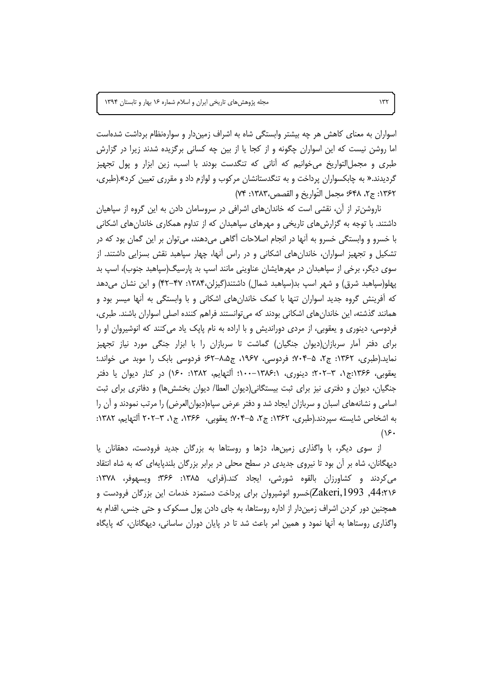اسواران به معنای کاهش هر چه بیشتر وابستگی شاه به اشراف زمیندار و سوارهنظام برداشت شدهاست اما روشن نیست که این اسواران چگونه و از کجا یا از بین چه کسانی برگزیده شدند زیرا در گزارش طبری و مجملالتواریخ می خوانیم که آنانی که تنگدست بودند با اسب، زین ابزار و پول تجهیز گردیدند.« به چابکسواران پرداخت و به تنگدستانشان مرکوب و لوازم داد و مقرری تعیین کرد».(طبری، ١٣۶٢: ج٢، ٤٤٨: مجمل التَّواريخ و القصص،١٣٨٣: ٧۴)

ناروشن تر از آن، نقشی است که خاندانهای اشرافی در سروسامان دادن به این گروه از سپاهیان داشتند. با توجه به گزارش های تاریخی و مهرهای سیاهبدان که از تداوم همکاری خاندان های اشکانی با خسرو و وابستگی خسرو به آنها در انجام اصلاحات آگاهی میدهند، می توان بر این گمان بود که در تشکیل و تجهیز اسواران، خاندانهای اشکانی و در راس آنها، چهار سپاهبد نقش بسزایی داشتند. از سوی دیگر، برخی از سپاهبدان در مهرهایشان عناوینی مانند اسپ بد پارسیگ(سپاهبد جنوب)، اسپ بد پهلو(سپاهبد شرق) و شهر اسپ بد(سپاهبد شمال) داشتند(گیزلن،۱۳۸۴: ۴۷–۴۲) و این نشان میدهد که آفرینش گروه جدید اسواران تنها با کمک خاندانهای اشکانی و با وابستگی به آنها میسر بود و همانند گذشته، این خاندانهای اشکانی بودند که میتوانستند فراهم کننده اصلی اسواران باشند. طبری، فردوسی، دینوری و یعقوبی، از مردی دوراندیش و با اراده به نام پاپک یاد می کنند که انوشیروان او را برای دفتر آمار سربازان(دیوان جنگیان) گماشت تا سربازان را با ابزار جنگی مورد نیاز تجهیز نماید.(طبری، ۱۳۶۲: ج۲، ۵–۷۰۴؛ فردوسی، ۱۹۶۷، ج۰۵،۵–۶۲؛ فردوسی بابک را موبد می خواند.؛ یعقوبی، ۱۳۶۶:ج۱، ۳-۲۰۲: دینوری، ۱۳۸۶:-۱۰۰؛ ألتهایم، ۱۳۸۲: ۱۶۰) در کنار دیوان یا دفتر جنگیان، دیوان و دفتری نیز برای ثبت بیستگانی(دیوان العطا/ دیوان بخشش۱۵) و دفاتری برای ثبت اسامی و نشانههای اسبان و سربازان ایجاد شد و دفتر عرض سپاه(دیوانالعرض) را مرتب نمودند و آن را به اشخاص شایسته سپردند.(طبری، ۱۳۶۲: ج۲، ۵–۷۰۴ یعقوبی، ۱۳۶۶، ج۱، ۳–۲۰۲ ألتهایم، ۱۳۸۲:  $(15.$ 

از سوی دیگر، با واگذاری زمینها، دژها و روستاها به بزرگان جدید فرودست، دهقانان یا دیهگانان، شاه بر آن بود تا نیروی جدیدی در سطح محلی در برابر بزرگان بلندپایهای که به شاه انتقاد می کردند و کشاورزان بالقوه شورشی، ایجاد کند.(فرای، ۱۳۸۵: ۳۶۶: ویسهوفر، ۱۳۷۸: 44:۲۱۶, Zakeri,1993)خسرو انوشیروان برای پرداخت دستمزد خدمات این بزرگان فرودست و همچنین دور کردن اشراف زمیندار از اداره روستاها، به جای دادن پول مسکوک و حتی جنس، اقدام به واگذاری روستاها به أنها نمود و همین امر باعث شد تا در پایان دوران ساسانی، دیهگانان، که پایگاه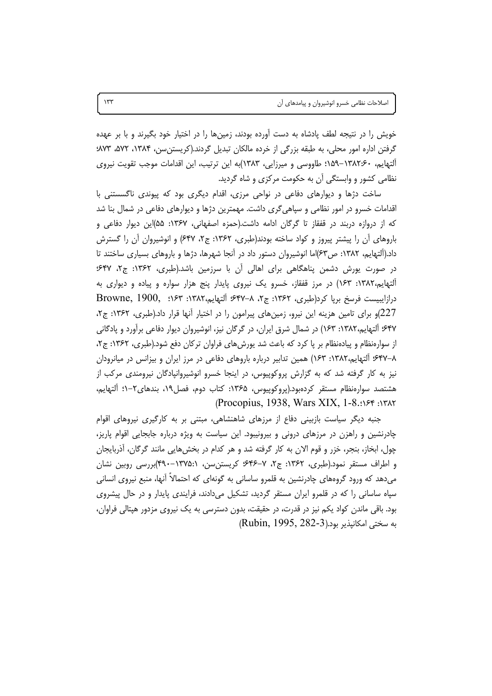خویش را در نتیجه لطف پادشاه به دست آورده بودند، زمینها را در اختیار خود بگیرند و با بر عهده گرفتن اداره امور محلی، به طبقه بزرگی از خرده مالکان تبدیل گردند.(کریستن سن، ۱۳۸۴، ۵۷۲، ۵۷۳. آلتهایم، ۱۳۸۲۰۶–۱۵۹: طاووسی و میرزایی، ۱۳۸۳)به این ترتیب، این اقدامات موجب تقویت نیروی نظامی کشور و وابستگی آن به حکومت مرکزی و شاه گردید.

ساخت دژها و دیوارهای دفاعی در نواحی مرزی، اقدام دیگری بود که پیوندی ناگسستنی با اقدامات خسرو در امور نظامی و سپاهی گری داشت. مهمترین دژها و دیوارهای دفاعی در شمال بنا شد که از دروازه دربند در قفقاز تا گرگان ادامه داشت.(حمزه اصفهانی، ۱۳۶۷: ۵۵)این دیوار دفاعی و باروهای آن را پیشتر پیروز و کواد ساخته بودند(طبری، ۱۳۶۲: ج۲، ۶۴۷) و انوشیروان آن را گسترش داد.(اَلتهایم، ۱۳۸۲: ص۶۳)اما انوشیروان دستور داد در اَنجا شهرها، دژها و باروهای بسیاری ساختند تا در صورت یورش دشمن پناهگاهی برای اهالی آن با سرزمین باشد.(طبری، ۱۳۶۲: ج۲، ۴۷: آلتهایم،۱۳۸۲: ۱۶۳) در مرز قفقاز، خسرو یک نیروی پایدار پنج هزار سواره و پیاده و دیواری به درازايبيست فرسخ برپا كرد(طبرى، ١٣۶٢: ج٢، ٨-٤٣٧؛ آلتهايم،١٣٨٢: ١۶٣: Browne, 1900, 227)و برای تامین هزینه این نیرو، زمینهای پیرامون را در اختیار آنها قرار داد.(طبری، ۱۳۶۲: ج۲، ۶۴۷؛ ألتهايم،۱۳۸۲: ۱۶۳) در شمال شرق ايران، در گرگان نيز، انوشيروان ديوار دفاعي برآورد و پادگاني از سوارهنظام و پیادهنظام بر پا کرد که باعث شد یورش های فراوان ترکان دفع شود.(طبری، ۱۳۶۲: ج۲، ۰۶۴۷–۸٪ آلتهایم،۱۳۸۲: ۱۶۳) همین تدابیر درباره باروهای دفاعی در مرز ایران و بیزانس در میانرودان نیز به کار گرفته شد که به گزارش پروکوپیوس، در اینجا خسرو انوشیروانپادگان نیرومندی مرکب از هشتصد سوارەنظام مستقر كردەبود.(پروكوپیوس، ۱۳۶۵: كتاب دوم، فصل۱۹، بندهای۲–۱: ألتهایم، (Procopius, 1938, Wars XIX, 1-8.: >> 1747

جنبه دیگر سیاست بازبینی دفاع از مرزهای شاهنشاهی، مبتنی بر به کارگیری نیروهای اقوام چادرنشین و راهزن در مرزهای درونی و بیرونیبود. این سیاست به ویژه درباره جابجایی اقوام پاریز، چول، ابخاز، بنجر، خزر و قوم الان به کار گرفته شد و هر کدام در بخشهایی مانند گرگان، آذربایجان و اطراف مستقر نمود.(طبری، ۱۳۶۲: ج۲، ۷–۴۶۴؛ کریستن سن، ۱۳۷۵:۱–۴۹۰)بررسی روبین نشان می دهد که ورود گروههای چادرنشین به قلمرو ساسانی به گونهای که احتمالاً آنها، منبع نیروی انسانی سیاه ساسانی را که در قلمرو ایران مستقر گردید، تشکیل میدادند، فرایندی پایدار و در حال پیشروی بود. باقی ماندن کواد یکم نیز در قدرت، در حقیقت، بدون دسترسی به یک نیروی مزدور هپتالی فراوان، به سختی امکانیذیر بود.(Rubin, 1995, 282-3)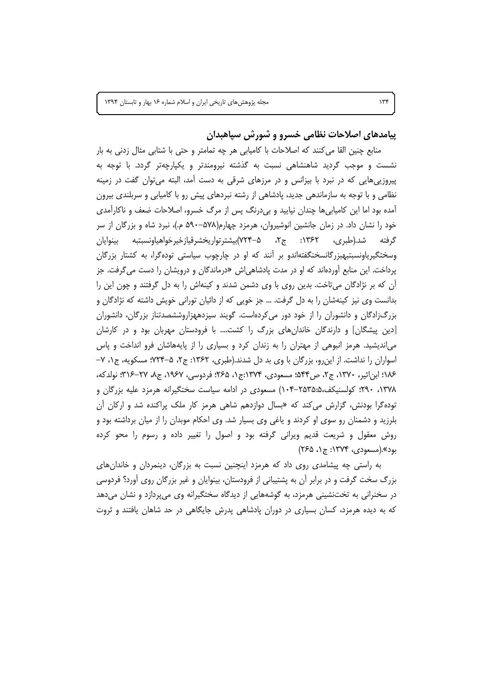پیامدهای اصلاحات نظامی خسرو و شورش سپاهبدان

منابع چنین القا می کنند که اصلاحات با کامیابی هر چه تمامتر و حتی با شتابی مثال زدنی به بار نشست و موجب گردید شاهنشاهی نسبت به گذشته نیرومندتر و یکپارچهتر گردد. با توجه به پیروزیی هایی که در نبرد با بیزانس و در مرزهای شرقی به دست آمد، البته می توان گفت در زمینه نظامی و با توجه به سازماندهی جدید، یادشاهی از رشته نبردهای پیش رو با کامیابی و سربلندی بیرون آمده بود اما این کامیابی ها چندان نپایید و بیدرنگ پس از مرگ خسرو، اصلاحات ضعف و ناکارآمدی خود را نشان داد. در زمان جانشین انوشیروان، هرمزد چهارم(۵۷۸–۵۹۰ م.)، نبرد شاه و بزرگان از سر شد.(طبری، ۱۳۶۲: ج۲، ۵–۷۲۴)بیشترتواریخشرقیازخیرخواهیاونسبتبه بینوایان گرفته وسختگیریاونسبتبهبزرگانسخنگفتهاندو بر آنند که او در چارچوب سیاستی تودهگرا، به کشتار بزرگان یرداخت. این منابع آوردهاند که او در مدت یادشاهی اش «درماندگان و درویشان را دست می گرفت. جز آن که بر نژادگان میتاخت. بدین روی با وی دشمن شدند و کینهاش را به دل گرفتند و چون این را بدانست وی نیز کینهشان را به دل گرفت. … جز خویی که از دائیان تورانی خویش داشته که نژادگان و بزرگزادگان و دانشوران را از خود دور می کردهاست. گویند سیزدههزاروششصدتناز بزرگان، دانشوران [دین پیشگان] و دارندگان خاندان های بزرگ را کشت…. با فرودستان مهربان بود و در کارشان میاندیشید. هرمز انبوهی از مهتران را به زندان کرد و بسیاری را از پایههاشان فرو انداخت و پاس اسواران را نداشت. از این رو، بزرگان با وی بد دل شدند.(طبری، ۱۳۶۲: ج۲، ۵-۷۲۴؛ مسکویه، ج۱، ۷– ١٨۶: ابن|ثير، ١٣٧٠، ج٢، ص٩۴۴: مسعودي، ١٣٧۴:ج١، ٢٤٥: فردوسي، ١٩۶٧، ج٨، ٢٧–٣١۶: نولدكه، ٬۲۹۰٬۱۳۷۸ کولسنیکف،۲۵۳۵:۵۰–۱۰۴) مسعودی در ادامه سیاست سختگیرانه هرمزد علیه بزرگان و توده گرا بودنش، گزارش می *ک*ند که «بسال دوازدهم شاهی هرمز کار ملک پراکنده شد و ارکان آن بلرزید و دشمنان رو سوی او کردند و یاغی وی بسیار شد. وی احکام موبدان را از میان برداشته بود و روش معقول و شریعت قدیم ویرانی گرفته بود و اصول را تغییر داده و رسوم را محو کرده بود».(مسعودی، ۱۳۷۴: ج۱، ۲۶۵)

به راستی چه پیشامدی روی داد که هرمزد اینچنین نسبت به بزرگان، دینمردان و خاندانهای بزرگ سخت گرفت و در برابر آن به پشتیبانی از فرودستان، بینوایان و غیر بزرگان روی آورد؟ فردوسی در سخنرانی به تختنشینی هرمزد، به گوشههایی از دیدگاه سختگیرانه وی می پردازد و نشان می دهد که به دیده هرمزد، کسان بسیاری در دوران پادشاهی پدرش جایگاهی در حد شاهان یافتند و ثروت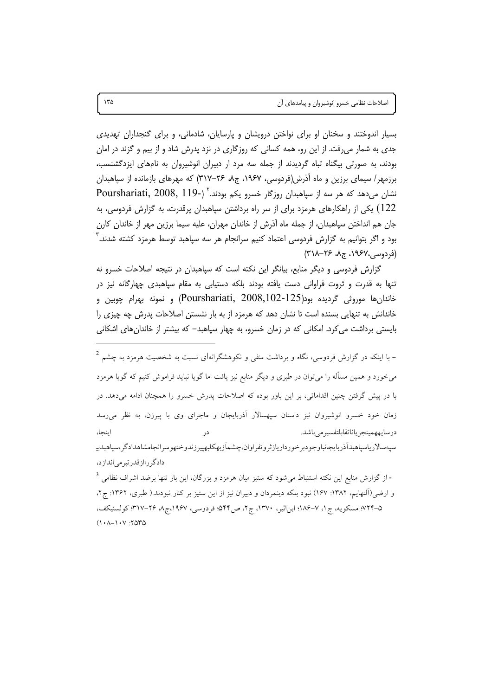بسیار اندوختند و سخنان او برای نواختن درویشان و پارسایان، شادمانی، و برای گنجداران تهدیدی جدی به شمار میرفت. از این رو، همه کسانی که روزگاری در نزد پدرش شاد و از بیم و گزند در امان بودند، به صورتی بیگناه تباه گردیدند از جمله سه مرد ار دبیران انوشیروان به نامهای ایزدگشنسب، برزمهر/ سیمای برزین و ماه آذرش(فردوسی، ۱۹۶۷، ج۸، ۲۶–۳۱۷) که مهرهای بازمانده از سپاهبدان نشان می دهد که هر سه از سیاهبدان روزگار خسرو یکم بودند.<sup>۲</sup> (-Pourshariati, 2008, 119 122) یکی از راهکارهای هرمزد برای از سر راه برداشتن سپاهبدان پرقدرت، به گزارش فردوسی، به جان هم انداختن سیاهبدان، از جمله ماه آذرش از خاندان مهران، علیه سیما برزین مهر از خاندان کارن بود و اگر بتوانیم به گزارش فردوسی اعتماد کنیم سرانجام هر سه سپاهبد توسط هرمزد کشته شدند. ` (فردوسی،١٩۶٧، ج٨، ٢۶-٢١٨)

گزارش فردوسی و دیگر منابع، بیانگر این نکته است که سیاهبدان در نتیجه اصلاحات خسرو نه تنها به قدرت و ثروت فراوانی دست یافته بودند بلکه دستیابی به مقام سپاهبدی چهارگانه نیز در خاندانِها موروثي گرديده بود(Pourshariati, 2008,102-125) و نمونه بهرام چوبين و خاندانش به تنهایی بسنده است تا نشان دهد که هرمزد از به بار نشستن اصلاحات پدرش چه چیزی را بایستی برداشت می کرد. امکانی که در زمان خسرو، به چهار سپاهبد– که بیشتر از خاندانهای اشکانی

- با اینکه در گزارش فردوسی، نگاه و برداشت منفی و نکوهشگرانهای نسبت به شخصیت هرمزد به چشم  $^2$ میخورد و همین مسأله را میٍتوان در طبری و دیگر منابع نیز یافت اما گویا نباید فراموش کنیم که گویا هرمزد با در پیش گرفتن چنین اقداماتی، بر این باور بوده که اصلاحات پدرش خسرو را همچنان ادامه میدهد. در زمان خود خسرو انوشیروان نیز داستان سیهسالار آذربایجان و ماجرای وی با پیرزن، به نظر می رسد درسايههمينجرياناتقابلتفسير مي باشد. ابنجا، در سيهسالار پاسپاهېدآذر بايجانباوجو دېر خو ر دارياز ثر و تفر اوان،چشماَز بهکلبهيير زندوختهو سر انجامشاهداد گر،سپاهېدبيه دادگرراازقدرتبرمی اندازد،

- از گزارش منابع این نکته استنباط میشود که ستیز میان هرمزد و بزرگان، این بار تنها برضد اشراف نظامی <sup>3</sup> و ارضی(آلتهایم، ۱۳۸۲: ۱۶۷) نبود بلکه دینمردان و دبیران نیز از این ستیز بر کنار نبودند.( طبری، ۱۳۶۲: ج ۲، ۵–۷۲۴؛ مسکویه، ج۱، ۷–۱۸۶؛ ابن|ثیر، ۱۳۷۰، ج۲، ص۶۴۴؛ فردوسی، ۱۹۶۷،ج۸، ۲۶–۳۱۷؛ کولسنیکف،  $(1 - \lambda - 1) \cdot V$ : ٢۵٣٥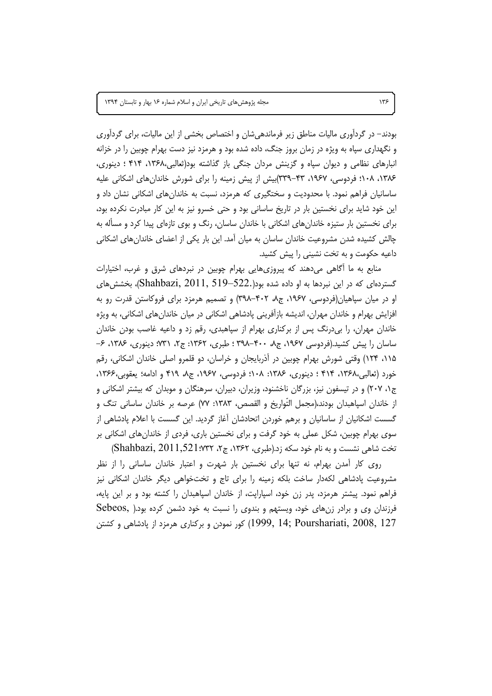بودند– در گردآوری مالیات مناطق زیر فرماندهی شان و اختصاص بخشی از این مالیات، برای گردآوری و نگهداری سیاه به ویژه در زمان بروز جنگ، داده شده بود و هرمزد نیز دست بهرام چوبین را در خزانه انبارهای نظامی و دیوان سپاه و گزینش مردان جنگی باز گذاشته بود(ثعالبی،۱۳۶۸، ۴۱۴ ؛ دینوری، ۱۳۸۶، ۱۰۸؛ فردوسی، ۱۹۶۷، ۴۳–۳۳۹)بیش از پیش زمینه را برای شورش خاندانهای اشکانی علیه ساسانیان فراهم نمود. با محدودیت و سختگیری که هرمزد، نسبت به خاندانهای اشکانی نشان داد و این خود شاید برای نخستین بار در تاریخ ساسانی بود و حتی خسرو نیز به این کار مبادرت نکرده بود، برای نخستین بار ستیزه خاندان های اشکانی با خاندان ساسان، رنگ و بوی تازهای پیدا کرد و مسأله به چالش کشیده شدن مشروعیت خاندان ساسان به میان آمد. این بار یکی از اعضای خاندانهای اشکانی داعیه حکومت و به تخت نشینی را پیش کشید.

منابع به ما أگاهی میدهند که پیروزیهایی بهرام چوبین در نبردهای شرق و غرب، اختیارات گستردهای که در این نبردها به او داده شده بود(.522–Shahbazi, 2011, 519)، بخشش های او در میان سپاهیان(فردوسی، ۱۹۶۷، ج۸، ۴۰۲–۳۹۸) و تصمیم هرمزد برای فروکاستن قدرت رو به افزایش بهرام و خاندان مهران، اندیشه بازآفرینی پادشاهی اشکانی در میان خاندانهای اشکانی، به ویژه خاندان مهران، را بیدرنگ پس از برکناری بهرام از سپاهبدی، رقم زد و داعیه غاصب بودن خاندان ساسان را پیش کشید.(فردوسی ۱۹۶۷، ج۸، ۴۰۰–۳۹۸ ؛ طبری، ۱۳۶۲: ج۲، ۳۱٪ دینوری، ۱۳۸۶، ۶– ۱۱۵، ۱۲۴) وقتی شورش بهرام چوبین در آذربایجان و خراسان، دو قلمرو اصلی خاندان اشکانی، رقم خورد (ثعالبي،١٣۶٨، ٢١۴ ؛ دينوري، ١٣٨۶: ١٠٨؛ فردوسي، ١٩۶٧، ج٨، ٢١٩ و ادامه؛ يعقوبي،١٣۶۶، ج۰، ۲۰۷) و در تیسفون نیز، بزرگان ناخشنود، وزیران، دبیران، سرهنگان و موبدان که بیشتر اشکانی و از خاندان اسپاهبدان بودند،(مجمل التَّواريخ و القصص، ۱۳۸۳: ۷۷) عرصه بر خاندان ساسانی تنگ و گسست اشکانیان از ساسانیان و برهم خوردن اتحادشان آغاز گردید. این گسست با اعلام پادشاهی از سوی بهرام چوبین، شکل عملی به خود گرفت و برای نخستین باری، فردی از خاندانهای اشکانی بر تخت شاهی نشست و به نام خود سکه زد.(طبری، ۱۳۶۲، ج۲، Shahbazi, 2011,521:۷۳۲)

روی کار آمدن بهرام، نه تنها برای نخستین بار شهرت و اعتبار خاندان ساسانی را از نظر مشروعیت پادشاهی لکهدار ساخت بلکه زمینه را برای تاج و تختخواهی دیگر خاندان اشکانی نیز فراهم نمود. پیشتر هرمزد، پدر زن خود، اسپارایت، از خاندان اسپاهبدان را کشته بود و بر این پایه، فرزندان وی و برادر زنهای خود، ویستهم و بندوی را نسبت به خود دشمن کرده بود.( Sebeos, 127 ,14; Pourshariati, 2008, 197 ) کور نمودن و برکناری هرمزد از یادشاهی و کشتن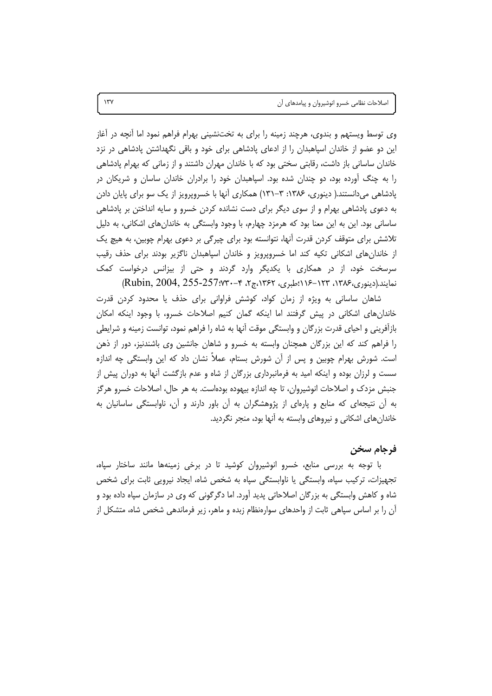اصلاحات نظامی خسرو انوشیروان و پیامدهای آن

وی توسط ویستهم و بندوی، هرچند زمینه را برای به تختنشینی بهرام فراهم نمود اما آنچه در آغاز این دو عضو از خاندان اسپاهبدان را از ادعای پادشاهی برای خود و باقی نگهداشتن پادشاهی در نزد خاندان ساسانی باز داشت، رقابتی سختی بود که با خاندان مهران داشتند و از زمانی که بهرام پادشاهی را به چنگ آورده بود، دو چندان شده بود. اسپاهبدان خود را برادران خاندان ساسان و شریکان در یادشاهی می دانستند.( دینوری، ۱۳۸۶: ۳–۱۳۱) همکاری آنها با خسرویرویز از یک سو برای پایان دادن به دعوی پادشاهی بهرام و از سوی دیگر برای دست نشانده کردن خسرو و سایه انداختن بر پادشاهی ساساني بود. اين به اين معنا بود كه هرمزد چهارم، با وجود وابستگي به خاندانهاي اشكاني، به دليل تلاشش برای متوقف کردن قدرت آنها، نتوانسته بود برای چیرگی بر دعوی بهرام چوبین، به هیچ یک از خاندان های اشکانی تکیه کند اما خسروپرویز و خاندان اسپاهبدان ناگزیر بودند برای حذف رقیب سرسخت خود، از در همکاری با یکدیگر وارد گردند و حتی از بیزانس درخواست کمک نمايند.(دينوري،١٣٨۶-١٢٣٠-١١۶؛طبري، ١٣۶۲،ج۲، ۴-٣٧:257-257, (Rubin, 2004, 255-257)

شاهان ساسانی به ویژه از زمان کواد، کوشش فراوانی برای حذف یا محدود کردن قدرت خاندان های اشکانی در پیش گرفتند اما اینکه گمان کنیم اصلاحات خسرو، با وجود اینکه امکان بازآفرینی و احیای قدرت بزرگان و وابستگی موقت آنها به شاه را فراهم نمود، توانست زمینه و شرایطی را فراهم کند که این بزرگان همچنان وابسته به خسرو و شاهان جانشین وی باشندنیز، دور از ذهن است. شورش بهرام چوبین و پس از آن شورش بستام، عملاً نشان داد که این وابستگی چه اندازه سست و لرزان بوده و اینکه امید به فرمانبرداری بزرگان از شاه و عدم بازگشت آنها به دوران پیش از جنبش مزدک و اصلاحات انوشیروان، تا چه اندازه بیهوده بودهاست. به هر حال، اصلاحات خسرو هرگز به آن نتیجهای که منابع و پارهای از پژوهشگران به آن باور دارند و آن، ناوابستگی ساسانیان به خاندانهای اشکانی و نیروهای وابسته به آنها بود، منجر نگردید.

## فرجام سخن

با توجه به بررسی منابع، خسرو انوشیروان کوشید تا در برخی زمینهها مانند ساختار سپاه، تجهیزات، ترکیب سپاه، وابستگی یا ناوابستگی سپاه به شخص شاه، ایجاد نیرویی ثابت برای شخص شاه و کاهش وابستگی به بزرگان اصلاحاتی پدید آورد. اما دگرگونی که وی در سازمان سپاه داده بود و آن را بر اساس سپاهی ثابت از واحدهای سوارهنظام زبده و ماهر، زیر فرماندهی شخص شاه، متشکل از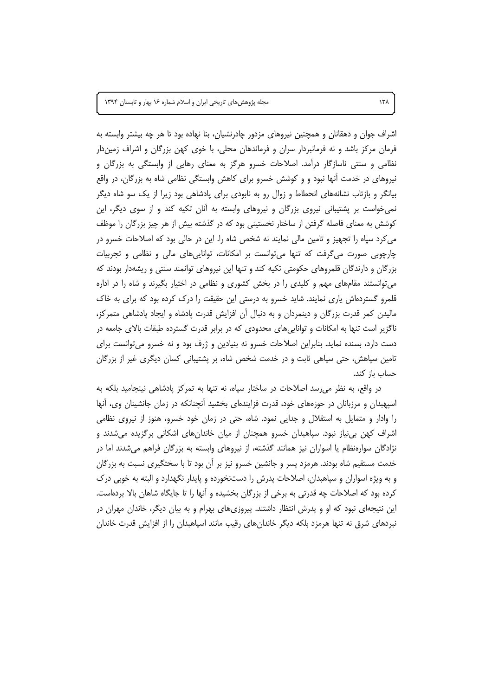اشراف جوان و دهقانان و همچنین نیروهای مزدور چادرنشیان، بنا نهاده بود تا هر چه بیشتر وابسته به فرمان مرکز باشد و نه فرمانبردار سران و فرماندهان محلی، با خوی کهن بزرگان و اشراف زمیندار نظامی و سنتی ناسازگار درآمد. اصلاحات خسرو هرگز به معنای رهایی از وابستگی به بزرگان و نیروهای در خدمت آنها نبود و و کوشش خسرو برای کاهش وابستگی نظامی شاه به بزرگان، در واقع بیانگر و بازتاب نشانههای انحطاط و زوال رو به نابودی برای پادشاهی بود زیرا از یک سو شاه دیگر نمی خواست بر پشتیبانی نیروی بزرگان و نیروهای وابسته به آنان تکیه کند و از سوی دیگر، این کوشش به معنای فاصله گرفتن از ساختار نخستینی بود که در گذشته بیش از هر چیز بزرگان را موظف می کرد سپاه را تجهیز و تامین مالی نمایند نه شخص شاه را. این در حالی بود که اصلاحات خسرو در چارچوبی صورت می گرفت که تنها می توانست بر امکانات، توانایی های مالی و نظامی و تجربیات بزرگان و دارندگان قلمروهای حکومتی تکیه کند و تنها این نیروهای توانمند سنتی و ریشهدار بودند که میتوانستند مقامهای مهم و کلیدی را در بخش کشوری و نظامی در اختیار بگیرند و شاه را در اداره قلمرو گستردهاش پاری نمایند. شاید خسرو به درستی این حقیقت را درک کرده بود که برای به خاک مالیدن کمر قدرت بزرگان و دینمردان و به دنبال آن افزایش قدرت پادشاه و ایجاد پادشاهی متمرکز، ناگزیر است تنها به امکانات و تواناییهای محدودی که در برابر قدرت گسترده طبقات بالای جامعه در دست دارد، بسنده نماید. بنابراین اصلاحات خسرو نه بنیادین و ژرف بود و نه خسرو میتوانست برای تامین سپاهش، حتی سپاهی ثابت و در خدمت شخص شاه، بر پشتیبانی کسان دیگری غیر از بزرگان حساب باز کند.

در واقع، به نظر می رسد اصلاحات در ساختار سیاه، نه تنها به تمرکز یادشاهی نینجامید بلکه به اسپهبدان و مرزبانان در حوزههای خود، قدرت فزایندهای بخشید آنچنانکه در زمان جانشینان وی، آنها را وادار و متمایل به استقلال و جدایی نمود. شاه، حتی در زمان خود خسرو، هنوز از نیروی نظامی اشراف کهن بی نیاز نبود. سپاهبدان خسرو همچنان از میان خاندانهای اشکانی برگزیده میشدند و نژادگان سوارهنظام یا اسواران نیز همانند گذشته، از نیروهای وابسته به بزرگان فراهم میشدند اما در خدمت مستقیم شاه بودند. هرمزد پسر و جانشین خسرو نیز بر آن بود تا با سختگیری نسبت به بزرگان و به ویژه اسواران و سپاهبدان، اصلاحات پدرش را دستنخورده و پایدار نگهدارد و البته به خوبی درک کرده بود که اصلاحات چه قدرتی به برخی از بزرگان بخشیده و آنها را تا جایگاه شاهان بالا بردهاست. این نتیجهای نبود که او و پدرش انتظار داشتند. پیروزیهای بهرام و به بیان دیگر، خاندان مهران در نبردهای شرق نه تنها هرمزد بلکه دیگر خاندانهای رقیب مانند اسپاهبدان را از افزایش قدرت خاندان

 $\lambda$ ۳۸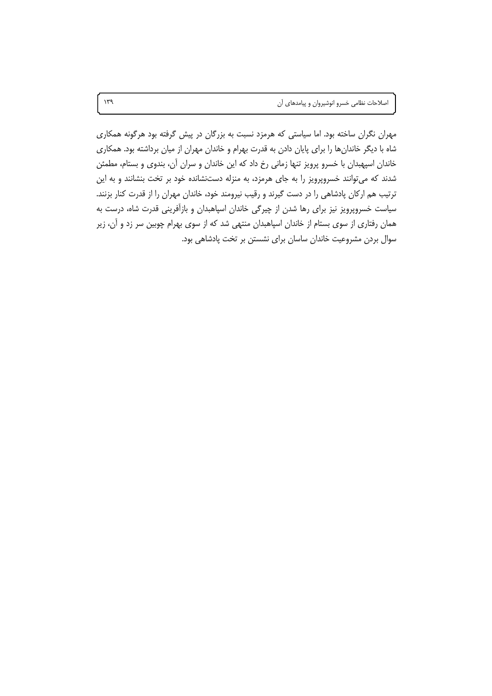مهران نگران ساخته بود. اما سیاستی که هرمزد نسبت به بزرگان در پیش گرفته بود هرگونه همکاری شاه با دیگر خاندانها را برای پایان دادن به قدرت بهرام و خاندان مهران از میان برداشته بود. همکاری خاندان اسپهبدان با خسرو پرویز تنها زمانی رخ داد که این خاندان و سران آن، بندوی و بستام، مطمئن شدند که میتوانند خسروپرویز را به جای هرمزد، به منزله دستنشانده خود بر تخت بنشانند و به این ترتیب هم ارکان پادشاهی را در دست گیرند و رقیب نیرومند خود، خاندان مهران را از قدرت کنار بزنند. سیاست خسروپرویز نیز برای رها شدن از چیرگی خاندان اسپاهبدان و بازآفرینی قدرت شاه، درست به همان رفتاری از سوی بستام از خاندان اسپاهبدان منتهی شد که از سوی بهرام چوبین سر زد و آن، زیر سوال بردن مشروعیت خاندان ساسان برای نشستن بر تخت پادشاهی بود.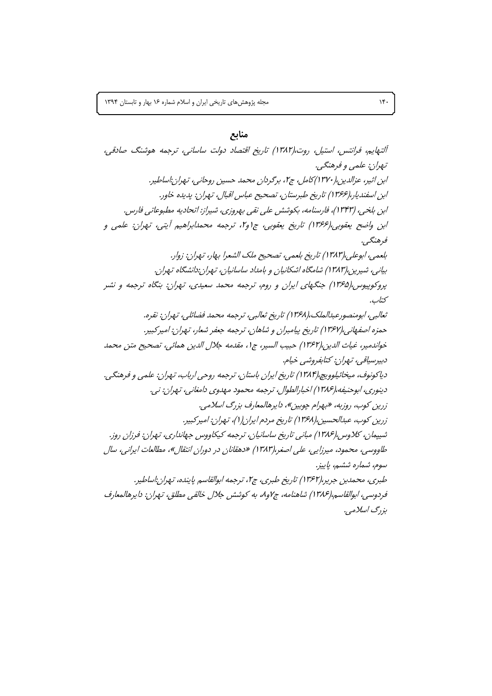#### منابع

آلتهایم، فرانتس، استیل، روت،(۱۳۸۲) تاریخ اقتصاد دولت ساسانی، ترجمه هوشنگ صادقی، تهران: علمي و فرهنگي. ابن اثير، عزالدين،(١٣٧٠) كامل، ج٢، برگردان محمد حسين روحاني، تـهران:اساطير. ابن اسفندپار،(۱۳۶۶) تاریخ طبرستان، تصحیح عباس اقبال، تهران: پدیده خاور. ابن بلخي، (١٣۴٣)، فارسنامه، بكوشش على نقى بهروزي، شيراز: اتحاديه مطبوعاتي فارس. ابن واضح يعقوبي،(١٣۶۶) تاريخ يعقوبي، ج١و٦، ترجمه محمدابراهيم أيتي، تهران: علمي و فرهنگے ، بلعمي، ابوعلي،(١٣٨٣) تاريخ بلعمي، تصحيح ملك الشعرا بهار، تهران: زوار. بیانی، شیرین،(۱۳۸۳) شامگاه اشکانیان و بامداد ساسانیان، تهران:دانشگاه تهران. پروکوپیوس،(۱۳۶۵) جنگهای ایران و روم، ترجمه محمد سعیدی، تهران: بنگاه ترجمه و نشر كتاب. ثعالبي، ابومنصورعبدالملك،(١٣۶٨) تاريخ ثعالبي، ترجمه محمد فضائلي، تهران: نقره. حمزه اصفهاني،(١٣۶٧) تاريخ پيامبران و شاهان، ترجمه جعفر شعار، تهران: اميركبير. خواندمير، غياث الدين،(١٣۶٢) حبيب السير، ج١، مقدمه جلال الدين همائي، تصحيح متن محمد دېپرسياقي، تپران: کتابفروشي خپام. دياكونوف، ميخائيلوويچ،(١٣٨۴) تاريخ ايران باستان، ترجمه روحي ارباب، تهران: علمي و فرهنگي. دينوري، ابوحنيفه،(١٣٨۶) اخبارالطوال، ترجمه محمود مهدوي دامغاني، تهران: ني. زرین کوب، روزبه، «بهرام چوبین»، دایرهالمعارف بزرگ اسلامی. زرین کوب، عبدالحسین،(۱۳۶۸) تاریخ مردم ایران(۱)، تهران: امیرکبیر. شىپمان، كلاوس،(١٣٨۶) مېانى تارىخ ساسانيان، ترجمه كېكاووس جهاندارى، تهران: فرزان روز. طاووسی، محمود، میرزایی، علی اصغر،(۱۳۸۳) «دهقانان در دوران انتقال»، مطالعات ایرانی، سال سوم، شماره ششم، پاییز. طبري، محمدبن جرير،(١٣۶٢) تاريخ طبري، ج١، ترجمه ابوالقاسم ياينده، تـهران:اساطير. فردوسي، ابوالقاسم،(١٣٨۶) شاهنامه، ج٧و٨، به كوشش جلال خالقي مطلق، تهران: دايرهالمعارف بز دڳ ايسلامين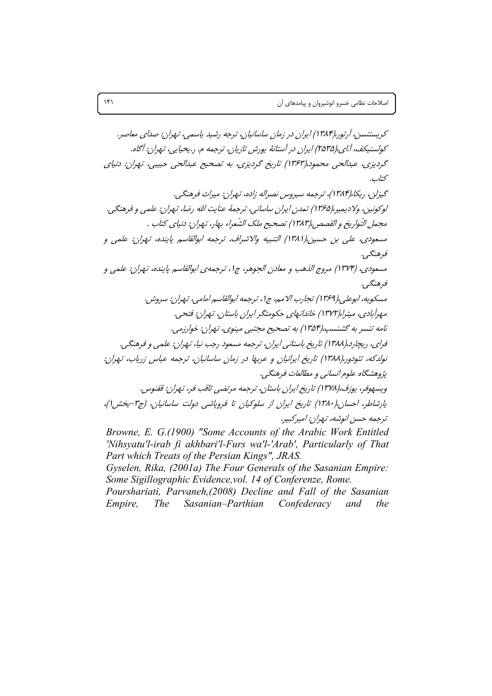'Nihsyatu'l-irab fi akhbari'l-Furs wa'l-'Arab', Particularly of That Part which Treats of the Persian Kings", JRAS. Gyselen, Rika, (2001a) The Four Generals of the Sasanian Empire:

Some Sigillographic Evidence, vol. 14 of Conferenze, Rome. Pourshariati, Parvaneh,(2008) Decline and Fall of the Sasanian Sasanian-Parthian Empire, The Confederacy and the